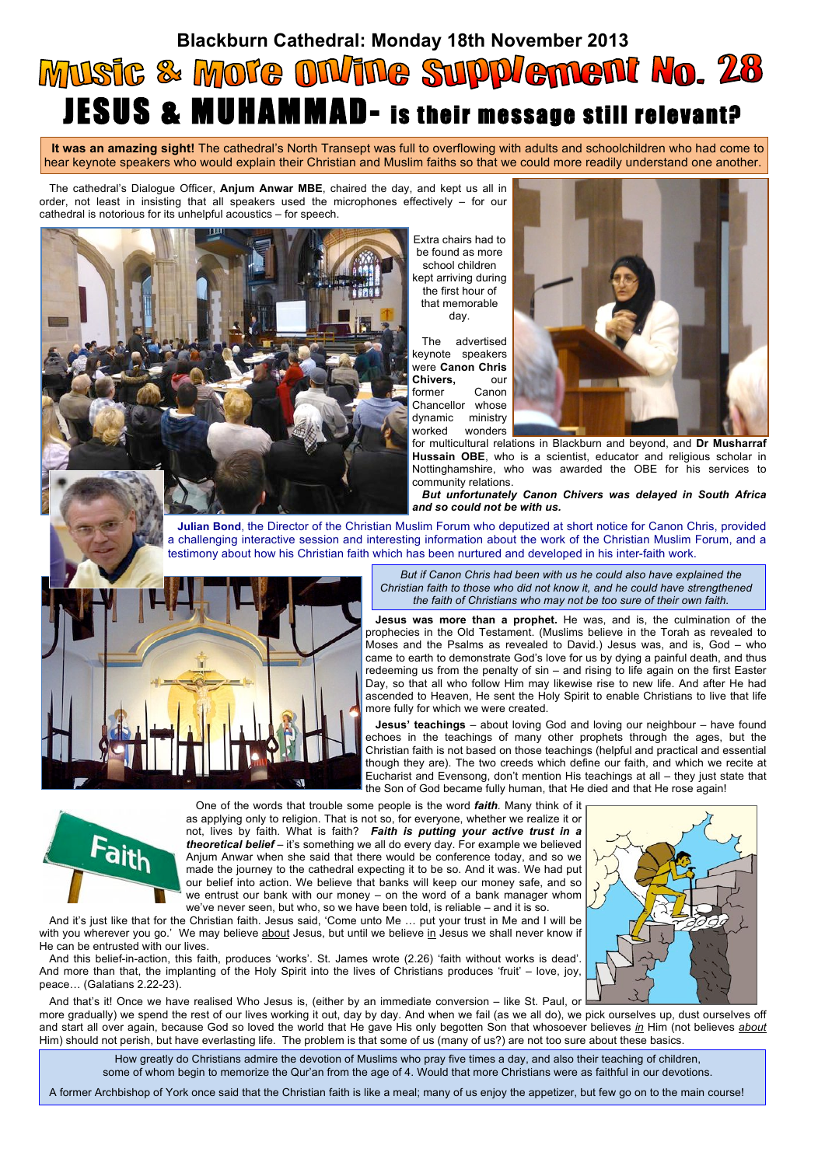## **Blackburn Cathedral: Monday 18th November 2013** Music & Mote ON/ine Supplement No. 28 JESUS & MUHAMMAD- is their message still relevant?

**It was an amazing sight!** The cathedral's North Transept was full to overflowing with adults and schoolchildren who had come to hear keynote speakers who would explain their Christian and Muslim faiths so that we could more readily understand one another.

The cathedral's Dialogue Officer, **Anjum Anwar MBE**, chaired the day, and kept us all in order, not least in insisting that all speakers used the microphones effectively – for our cathedral is notorious for its unhelpful acoustics – for speech.

> Extra chairs had to be found as more school children kept arriving during the first hour of that memorable day.

The advertised keynote speakers were **Canon Chris Chivers,** our former Canon Chancellor whose dynamic ministry worked wonders



for multicultural relations in Blackburn and beyond, and **Dr Musharraf Hussain OBE**, who is a scientist, educator and religious scholar in Nottinghamshire, who was awarded the OBE for his services to community relations.

*But unfortunately Canon Chivers was delayed in South Africa and so could not be with us.*

**Julian Bond**, the Director of the Christian Muslim Forum who deputized at short notice for Canon Chris, provided a challenging interactive session and interesting information about the work of the Christian Muslim Forum, and a testimony about how his Christian faith which has been nurtured and developed in his inter-faith work.



*But if Canon Chris had been with us he could also have explained the Christian faith to those who did not know it, and he could have strengthened the faith of Christians who may not be too sure of their own faith.*

**Jesus was more than a prophet.** He was, and is, the culmination of the prophecies in the Old Testament. (Muslims believe in the Torah as revealed to Moses and the Psalms as revealed to David.) Jesus was, and is, God – who came to earth to demonstrate God's love for us by dying a painful death, and thus redeeming us from the penalty of sin – and rising to life again on the first Easter Day, so that all who follow Him may likewise rise to new life. And after He had ascended to Heaven, He sent the Holy Spirit to enable Christians to live that life more fully for which we were created.

**Jesus' teachings** – about loving God and loving our neighbour – have found echoes in the teachings of many other prophets through the ages, but the Christian faith is not based on those teachings (helpful and practical and essential though they are). The two creeds which define our faith, and which we recite at Eucharist and Evensong, don't mention His teachings at all – they just state that the Son of God became fully human, that He died and that He rose again!



One of the words that trouble some people is the word *faith.* Many think of it as applying only to religion. That is not so, for everyone, whether we realize it or not, lives by faith. What is faith? *Faith is putting your active trust in a theoretical belief* – it's something we all do every day. For example we believed Anjum Anwar when she said that there would be conference today, and so we made the journey to the cathedral expecting it to be so. And it was. We had put our belief into action. We believe that banks will keep our money safe, and so we entrust our bank with our money – on the word of a bank manager whom we've never seen, but who, so we have been told, is reliable – and it is so.

And it's just like that for the Christian faith. Jesus said, 'Come unto Me … put your trust in Me and I will be with you wherever you go.' We may believe about Jesus, but until we believe in Jesus we shall never know if He can be entrusted with our lives.

And this belief-in-action, this faith, produces 'works'. St. James wrote (2.26) 'faith without works is dead'. And more than that, the implanting of the Holy Spirit into the lives of Christians produces 'fruit' – love, joy, peace… (Galatians 2.22-23).

And that's it! Once we have realised Who Jesus is, (either by an immediate conversion – like St. Paul, or more gradually) we spend the rest of our lives working it out, day by day. And when we fail (as we all do), we pick ourselves up, dust ourselves off and start all over again, because God so loved the world that He gave His only begotten Son that whosoever believes *in* Him (not believes *about* Him) should not perish, but have everlasting life. The problem is that some of us (many of us?) are not too sure about these basics.

How greatly do Christians admire the devotion of Muslims who pray five times a day, and also their teaching of children, some of whom begin to memorize the Qur'an from the age of 4. Would that more Christians were as faithful in our devotions.

A former Archbishop of York once said that the Christian faith is like a meal; many of us enjoy the appetizer, but few go on to the main course!